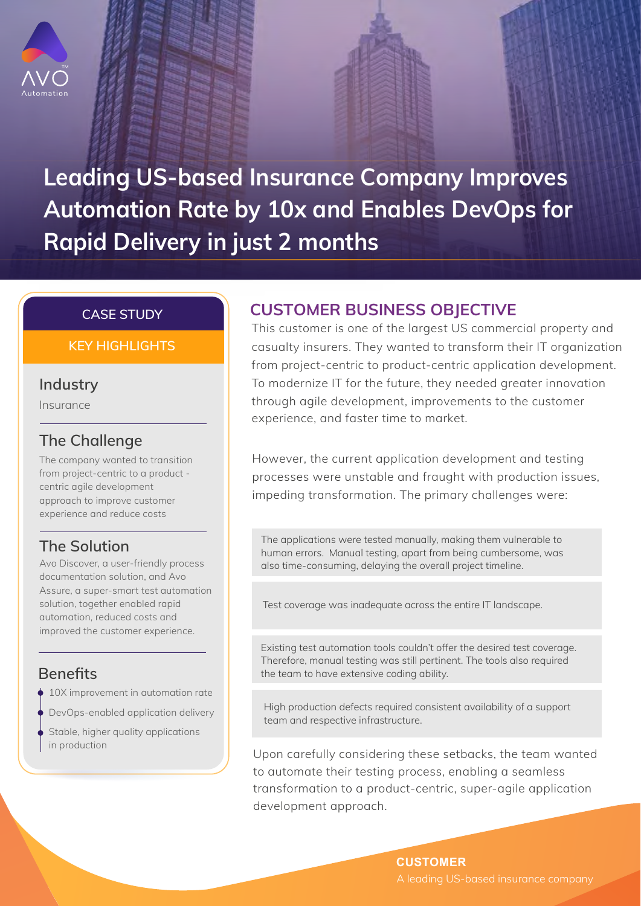

**Leading US-based Insurance Company Improves Automation Rate by 10x and Enables DevOps for Rapid Delivery in just 2 months** 

#### **CASE STUDY**

#### **KEY HIGHLIGHTS**

### **Industry**

Insurance

## **The Challenge**

The company wanted to transition from project-centric to a product centric agile development approach to improve customer experience and reduce costs

## **The Solution**

Avo Discover, a user-friendly process documentation solution, and Avo Assure, a super-smart test automation solution, together enabled rapid automation, reduced costs and improved the customer experience.

# **Benefits**

- ♦ 10X improvement in automation rate
- DevOps-enabled application delivery
- Stable, higher quality applications in production

# **CUSTOMER BUSINESS OBJECTIVE**

This customer is one of the largest US commercial property and casualty insurers. They wanted to transform their IT organization from project-centric to product-centric application development. To modernize IT for the future, they needed greater innovation through agile development, improvements to the customer experience, and faster time to market.

However, the current application development and testing processes were unstable and fraught with production issues, impeding transformation. The primary challenges were:

The applications were tested manually, making them vulnerable to human errors. Manual testing, apart from being cumbersome, was also time-consuming, delaying the overall project timeline.

Test coverage was inadequate across the entire IT landscape.

Existing test automation tools couldn't offer the desired test coverage. Therefore, manual testing was still pertinent. The tools also required the team to have extensive coding ability.

High production defects required consistent availability of a support team and respective infrastructure.

Upon carefully considering these setbacks, the team wanted to automate their testing process, enabling a seamless transformation to a product-centric, super-agile application development approach.

> **CUSTOMER** A leading US-based insurance company